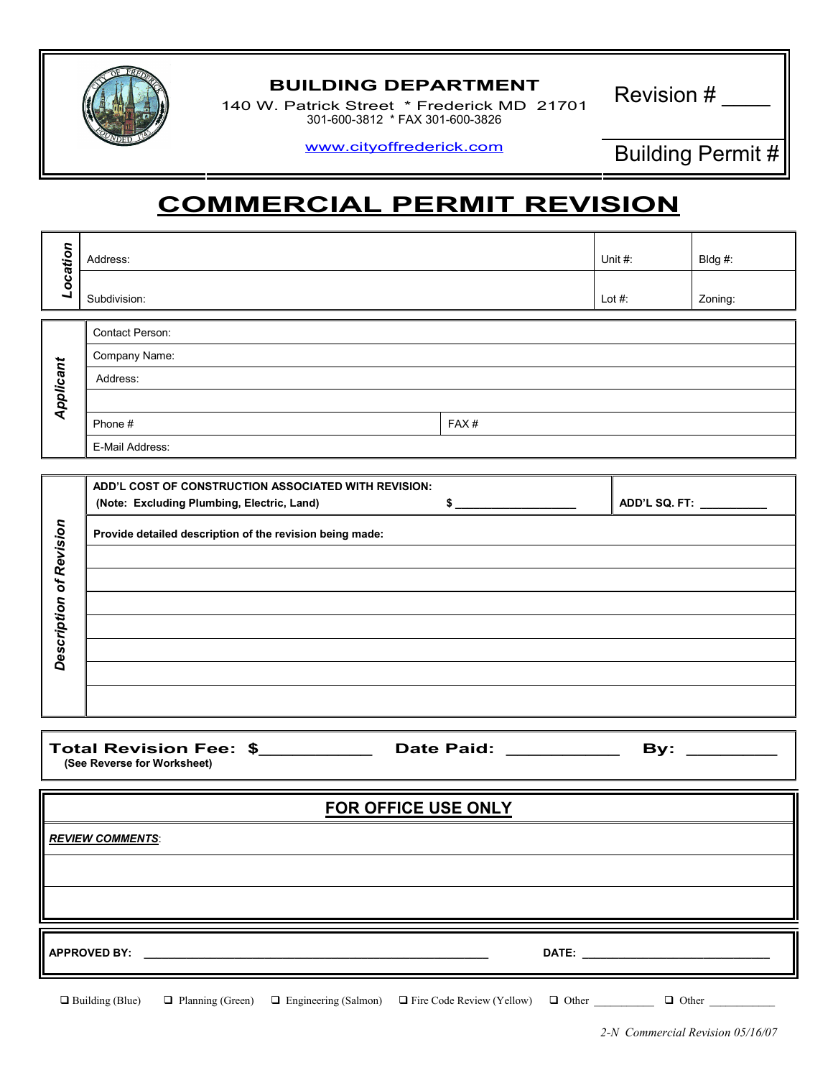

## BUILDING DEPARTMENT<br>Latrick Street \* Erederick MD 31701 Revision #

140 W. Patrick Street \* Frederick MD 21701 301-600-3812 \* FAX 301-600-3826

www.cityoffrederick.com Building Permit #

## COMMERCIAL PERMIT REVISION

|           | Address:                                             |      | Unit $#$ :    | Bldg #: |  |  |  |
|-----------|------------------------------------------------------|------|---------------|---------|--|--|--|
| Location  | Subdivision:                                         |      | Lot $#$ :     | Zoning: |  |  |  |
|           | Contact Person:                                      |      |               |         |  |  |  |
| Applicant | Company Name:                                        |      |               |         |  |  |  |
|           | Address:                                             |      |               |         |  |  |  |
|           |                                                      |      |               |         |  |  |  |
|           | Phone #                                              | FAX# |               |         |  |  |  |
|           | E-Mail Address:                                      |      |               |         |  |  |  |
|           |                                                      |      |               |         |  |  |  |
|           | ADD'L COST OF CONSTRUCTION ASSOCIATED WITH REVISION: |      |               |         |  |  |  |
|           | (Note: Excluding Plumbing, Electric, Land)           | \$   | ADD'L SQ. FT: |         |  |  |  |

| Provide detailed description of the revision being made: |
|----------------------------------------------------------|
|                                                          |
|                                                          |
|                                                          |
|                                                          |
|                                                          |
|                                                          |
|                                                          |
|                                                          |
|                                                          |
|                                                          |

Total Revision Fee: \$ \_\_\_\_\_\_\_\_\_\_ Date Paid: \_\_\_\_\_\_\_\_\_\_\_ By: \_\_\_\_\_\_\_\_ (See Reverse for Worksheet)

| <b>FOR OFFICE USE ONLY</b> |
|----------------------------|
|                            |

**REVIEW COMMENTS:** 

APPROVED BY: \_\_\_\_\_\_\_\_\_\_\_\_\_\_\_\_\_\_\_\_\_\_\_\_\_\_\_\_\_\_\_\_\_\_\_\_\_\_\_\_\_\_\_\_\_\_\_\_\_\_\_\_\_\_\_\_\_ DATE: \_\_\_\_\_\_\_\_\_\_\_\_\_\_\_\_\_\_\_\_\_\_\_\_\_\_\_\_\_\_\_

 $\Box$  Building (Blue)  $\Box$ Planning (Green)  $\Box$  Engineering (Salmon)  $\Box$  Fire Code Review (Yellow)  $\Box$  Other  $\Box$  Other  $\Box$